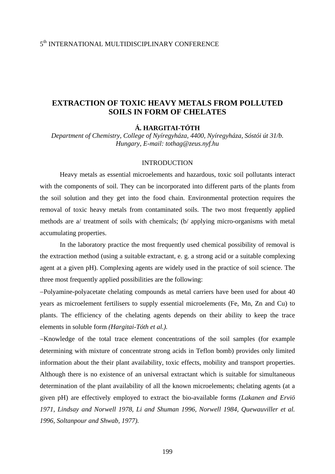## 5th INTERNATIONAL MULTIDISCIPLINARY CONFERENCE

# **EXTRACTION OF TOXIC HEAVY METALS FROM POLLUTED SOILS IN FORM OF CHELATES**

## **Á. HARGITAI-TÓTH**

*Department of Chemistry, College of Nyíregyháza, 4400, Nyíregyháza, Sóstói út 31/b. Hungary, E-mail: tothag@zeus.nyf.hu* 

### INTRODUCTION

Heavy metals as essential microelements and hazardous, toxic soil pollutants interact with the components of soil. They can be incorporated into different parts of the plants from the soil solution and they get into the food chain. Environmental protection requires the removal of toxic heavy metals from contaminated soils. The two most frequently applied methods are a/ treatment of soils with chemicals; (b/ applying micro-organisms with metal accumulating properties.

 In the laboratory practice the most frequently used chemical possibility of removal is the extraction method (using a suitable extractant, e. g. a strong acid or a suitable complexing agent at a given pH). Complexing agents are widely used in the practice of soil science. The three most frequently applied possibilities are the following:

−Polyamine-polyacetate chelating compounds as metal carriers have been used for about 40 years as microelement fertilisers to supply essential microelements (Fe, Mn, Zn and Cu) to plants. The efficiency of the chelating agents depends on their ability to keep the trace elements in soluble form *(Hargitai-Tóth et al.).*

−Knowledge of the total trace element concentrations of the soil samples (for example determining with mixture of concentrate strong acids in Teflon bomb) provides only limited information about the their plant availability, toxic effects, mobility and transport properties. Although there is no existence of an universal extractant which is suitable for simultaneous determination of the plant availability of all the known microelements; chelating agents (at a given pH) are effectively employed to extract the bio-available forms *(Lakanen and Erviö 1971, Lindsay and Norwell 1978, Li and Shuman 1996, Norwell 1984, Quewauviller et al. 1996, Soltanpour and Shwab, 1977).*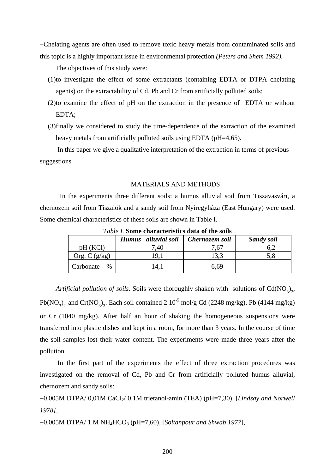−Chelating agents are often used to remove toxic heavy metals from contaminated soils and this topic is a highly important issue in environmental protection *(Peters and Shem 1992).* 

The objectives of this study were:

- (1)to investigate the effect of some extractants (containing EDTA or DTPA chelating agents) on the extractability of Cd, Pb and Cr from artificially polluted soils;
- (2)to examine the effect of pH on the extraction in the presence of EDTA or without EDTA;
- (3)finally we considered to study the time-dependence of the extraction of the examined heavy metals from artificially polluted soils using EDTA (pH=4,65).

 In this paper we give a qualitative interpretation of the extraction in terms of previous suggestions.

## MATERIALS AND METHODS

 In the experiments three different soils: a humus alluvial soil from Tiszavasvári, a chernozem soil from Tiszalök and a sandy soil from Nyíregyháza (East Hungary) were used. Some chemical characteristics of these soils are shown in Table I.

| <i>Tuble 1.</i> Sunit characteristics uala of the sons |                               |                |                   |
|--------------------------------------------------------|-------------------------------|----------------|-------------------|
|                                                        | alluvial soil<br><b>Humus</b> | Chernozem soil | <b>Sandy soil</b> |
| pH (KCl)                                               | .40                           | 7,67           | 5.2               |
| Org. $C(g/kg)$                                         | '9.J                          | 3.3            |                   |
| Carbonate<br>$\%$                                      | 14.1                          | 6.69           |                   |

*Table I.* **Some characteristics data of the soils** 

*Artificial pollution of soils.* Soils were thoroughly shaken with solutions of  $Cd(NO<sub>3</sub>)<sub>2</sub>$ , Pb(NO<sub>3</sub>)<sub>2</sub> and Cr(NO<sub>3</sub>)<sub>3</sub>. Each soil contained 2⋅10<sup>-5</sup> mol/g Cd (2248 mg/kg), Pb (4144 mg/kg) or Cr (1040 mg/kg). After half an hour of shaking the homogeneous suspensions were transferred into plastic dishes and kept in a room, for more than 3 years. In the course of time the soil samples lost their water content. The experiments were made three years after the pollution.

 In the first part of the experiments the effect of three extraction procedures was investigated on the removal of Cd, Pb and Cr from artificially polluted humus alluvial, chernozem and sandy soils:

−0,005M DTPA/ 0,01M CaCl2/ 0,1M trietanol-amin (TEA) (pH=7,30), [*Lindsay and Norwell 1978],*

−0,005M DTPA/ 1 M NH4HCO3 (pH=7,60), [*Soltanpour and Shwab,1977*],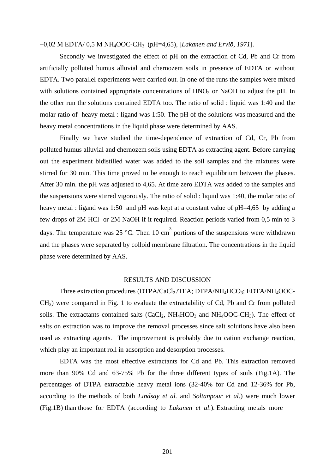#### −0,02 M EDTA/ 0,5 M NH4OOC-CH3 (pH=4,65), [*Lakanen and Erviö, 1971*].

Secondly we investigated the effect of pH on the extraction of Cd, Pb and Cr from artificially polluted humus alluvial and chernozem soils in presence of EDTA or without EDTA. Two parallel experiments were carried out. In one of the runs the samples were mixed with solutions contained appropriate concentrations of  $HNO<sub>3</sub>$  or NaOH to adjust the pH. In the other run the solutions contained EDTA too. The ratio of solid : liquid was 1:40 and the molar ratio of heavy metal : ligand was 1:50. The pH of the solutions was measured and the heavy metal concentrations in the liquid phase were determined by AAS.

 Finally we have studied the time-dependence of extraction of Cd, Cr, Pb from polluted humus alluvial and chernozem soils using EDTA as extracting agent. Before carrying out the experiment bidistilled water was added to the soil samples and the mixtures were stirred for 30 min. This time proved to be enough to reach equilibrium between the phases. After 30 min. the pH was adjusted to 4,65. At time zero EDTA was added to the samples and the suspensions were stirred vigorously. The ratio of solid : liquid was 1:40, the molar ratio of heavy metal : ligand was 1:50 and pH was kept at a constant value of pH=4,65 by adding a few drops of 2M HCl or 2M NaOH if it required. Reaction periods varied from 0,5 min to 3 days. The temperature was 25 °C. Then 10 cm<sup>3</sup> portions of the suspensions were withdrawn and the phases were separated by colloid membrane filtration. The concentrations in the liquid phase were determined by AAS.

#### RESULTS AND DISCUSSION

Three extraction procedures (DTPA/CaCl<sub>2</sub>/TEA; DTPA/NH<sub>4</sub>HCO<sub>3</sub>; EDTA/NH<sub>4</sub>OOC-CH3) were compared in Fig. 1 to evaluate the extractability of Cd, Pb and Cr from polluted soils. The extractants contained salts  $(CaCl<sub>2</sub>, NH<sub>4</sub>HCO<sub>3</sub>$  and  $NH<sub>4</sub>OOC-CH<sub>3</sub>)$ . The effect of salts on extraction was to improve the removal processes since salt solutions have also been used as extracting agents. The improvement is probably due to cation exchange reaction, which play an important roll in adsorption and desorption processes.

EDTA was the most effective extractants for Cd and Pb. This extraction removed more than 90% Cd and 63-75% Pb for the three different types of soils (Fig.1A). The percentages of DTPA extractable heavy metal ions (32-40% for Cd and 12-36% for Pb, according to the methods of both *Lindsay et al.* and *Soltanpour et al*.) were much lower (Fig.1B) than those for EDTA (according to *Lakanen et al*.). Extracting metals more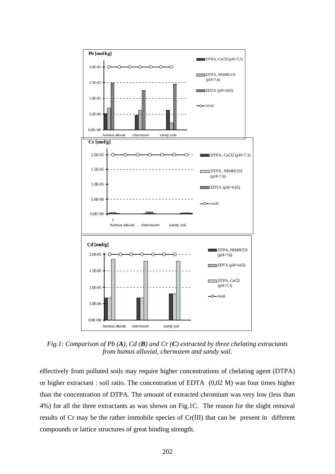

*Fig.1: Comparison of Pb (A), Cd (B) and Cr (C) extracted by three chelating extractants from humus alluvial, chernozem and sandy soil.*

effectively from polluted soils may require higher concentrations of chelating agent (DTPA) or higher extractant : soil ratio. The concentration of EDTA (0,02 M) was four times higher than the concentration of DTPA. The amount of extracted chromium was very low (less than 4%) for all the three extractants as was shown on Fig.1C. The reason for the slight removal results of Cr may be the rather immobile species of Cr(III) that can be present in different compounds or lattice structures of great binding strength.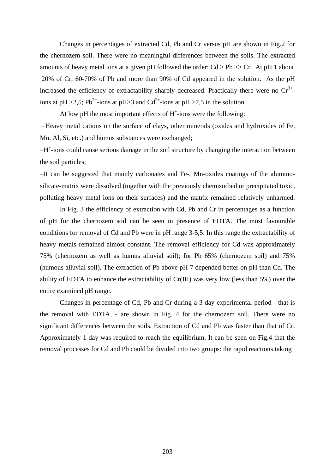Changes in percentages of extracted Cd, Pb and Cr versus pH are shown in Fig.2 for the chernozem soil. There were no meaningful differences between the soils. The extracted amounts of heavy metal ions at a given pH followed the order:  $Cd > Pb >> Cr$ . At pH 1 about 20% of Cr, 60-70% of Pb and more than 90% of Cd appeared in the solution. As the pH increased the efficiency of extractability sharply decreased. Practically there were no  $Cr^{3+}$ ions at pH > 2,5; Pb<sup>2+</sup>-ions at pH > 3 and Cd<sup>2+</sup>-ions at pH > 7,5 in the solution.

At low pH the most important effects of  $H^+$ -ions were the following:

−Heavy metal cations on the surface of clays, other minerals (oxides and hydroxides of Fe, Mn, Al, Si, etc.) and humus substances were exchanged;

−H+ -ions could cause serious damage in the soil structure by changing the interaction between the soil particles;

−It can be suggested that mainly carbonates and Fe-, Mn-oxides coatings of the aluminosilicate-matrix were dissolved (together with the previously chemisorbed or precipitated toxic, polluting heavy metal ions on their surfaces) and the matrix remained relatively unharmed.

 In Fig. 3 the efficiency of extraction with Cd, Pb and Cr in percentages as a function of pH for the chernozem soil can be seen in presence of EDTA. The most favourable conditions for removal of Cd and Pb were in pH range 3-5,5. In this range the extractability of heavy metals remained almost constant. The removal efficiency for Cd was approximately 75% (chernozem as well as humus alluvial soil); for Pb 65% (chernozem soil) and 75% (humous alluvial soil). The extraction of Pb above pH 7 depended better on pH than Cd. The ability of EDTA to enhance the extractability of Cr(III) was very low (less than 5%) over the entire examined pH range.

 Changes in percentage of Cd, Pb and Cr during a 3-day experimental period - that is the removal with EDTA, - are shown in Fig. 4 for the chernozem soil. There were no significant differences between the soils. Extraction of Cd and Pb was faster than that of Cr. Approximately 1 day was required to reach the equilibrium. It can be seen on Fig.4 that the removal processes for Cd and Pb could be divided into two groups: the rapid reactions taking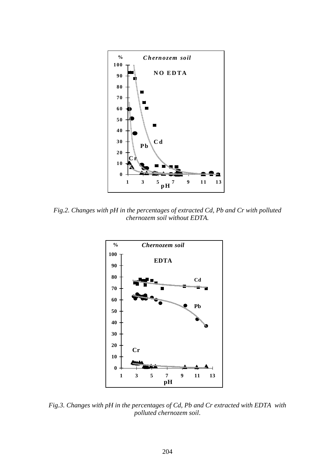

*Fig.2. Changes with pH in the percentages of extracted Cd, Pb and Cr with polluted chernozem soil without EDTA.* 



*Fig.3. Changes with pH in the percentages of Cd, Pb and Cr extracted with EDTA with polluted chernozem soil*.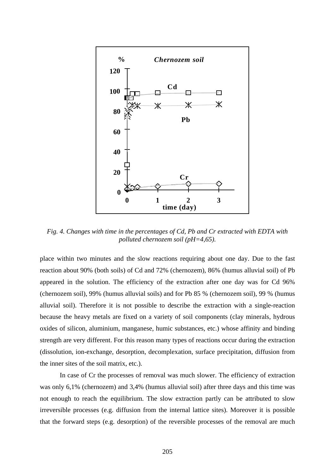

*Fig. 4. Changes with time in the percentages of Cd, Pb and Cr extracted with EDTA with polluted chernozem soil (pH=4,65).* 

place within two minutes and the slow reactions requiring about one day. Due to the fast reaction about 90% (both soils) of Cd and 72% (chernozem), 86% (humus alluvial soil) of Pb appeared in the solution. The efficiency of the extraction after one day was for Cd 96% (chernozem soil), 99% (humus alluvial soils) and for Pb 85 % (chernozem soil), 99 % (humus alluvial soil). Therefore it is not possible to describe the extraction with a single-reaction because the heavy metals are fixed on a variety of soil components (clay minerals, hydrous oxides of silicon, aluminium, manganese, humic substances, etc.) whose affinity and binding strength are very different. For this reason many types of reactions occur during the extraction (dissolution, ion-exchange, desorption, decomplexation, surface precipitation, diffusion from the inner sites of the soil matrix, etc.).

 In case of Cr the processes of removal was much slower. The efficiency of extraction was only 6,1% (chernozem) and 3,4% (humus alluvial soil) after three days and this time was not enough to reach the equilibrium. The slow extraction partly can be attributed to slow irreversible processes (e.g. diffusion from the internal lattice sites). Moreover it is possible that the forward steps (e.g. desorption) of the reversible processes of the removal are much